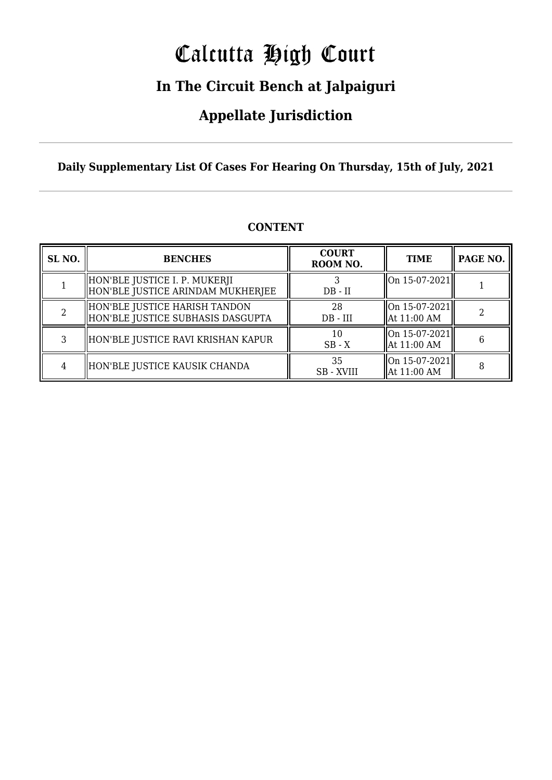# Calcutta High Court

### **In The Circuit Bench at Jalpaiguri**

### **Appellate Jurisdiction**

**Daily Supplementary List Of Cases For Hearing On Thursday, 15th of July, 2021**

| SL <sub>NO</sub> . | <b>BENCHES</b>                                                     | <b>COURT</b><br>ROOM NO. | <b>TIME</b>                                  | PAGE NO. |
|--------------------|--------------------------------------------------------------------|--------------------------|----------------------------------------------|----------|
|                    | HON'BLE JUSTICE I. P. MUKERJI<br>HON'BLE JUSTICE ARINDAM MUKHERJEE | $DB - II$                | $\left\vert 0n\right.15-07-2021\right\vert$  |          |
|                    | HON'BLE JUSTICE HARISH TANDON<br>HON'BLE JUSTICE SUBHASIS DASGUPTA | 28<br>$DB - III$         | $ On 15-07-2021 $<br>At 11:00 AM             |          |
|                    | HON'BLE JUSTICE RAVI KRISHAN KAPUR                                 | 10<br>$SB - X$           | $\vert$ On 15-07-2021 $\vert$<br>At 11:00 AM |          |
|                    | HON'BLE JUSTICE KAUSIK CHANDA                                      | 35<br><b>SB</b> - XVIII  | $\vert$ On 15-07-2021 $\vert$<br>At 11:00 AM |          |

#### **CONTENT**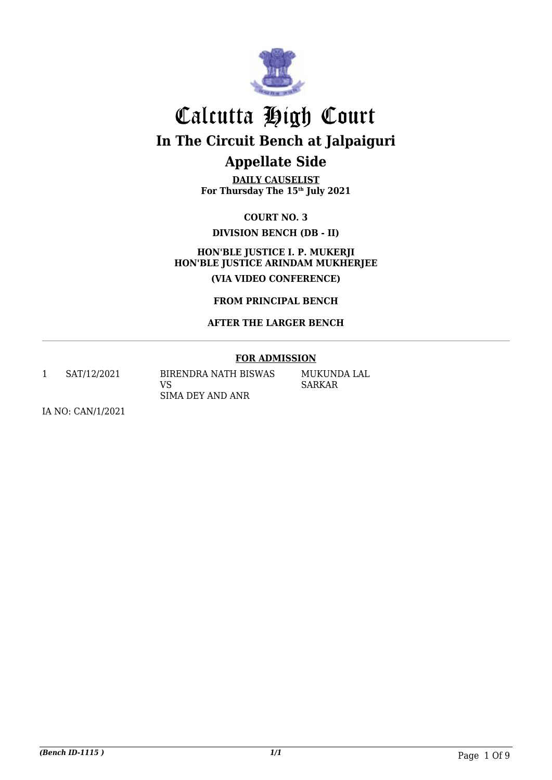

**DAILY CAUSELIST For Thursday The 15th July 2021**

**COURT NO. 3 DIVISION BENCH (DB - II)**

**HON'BLE JUSTICE I. P. MUKERJI HON'BLE JUSTICE ARINDAM MUKHERJEE (VIA VIDEO CONFERENCE)**

**FROM PRINCIPAL BENCH**

#### **AFTER THE LARGER BENCH**

#### **FOR ADMISSION**

1 SAT/12/2021 BIRENDRA NATH BISWAS

VS SIMA DEY AND ANR MUKUNDA LAL SARKAR

IA NO: CAN/1/2021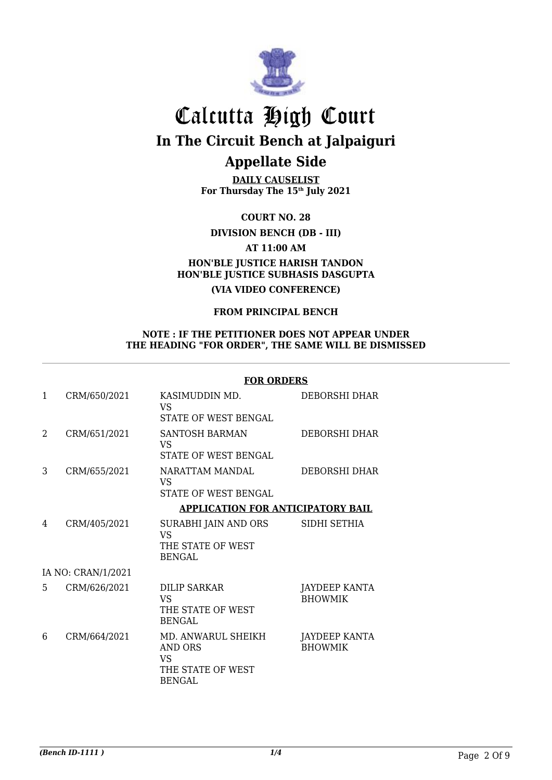

**DAILY CAUSELIST For Thursday The 15th July 2021**

**COURT NO. 28**

**DIVISION BENCH (DB - III)**

**AT 11:00 AM**

#### **HON'BLE JUSTICE HARISH TANDON HON'BLE JUSTICE SUBHASIS DASGUPTA**

**(VIA VIDEO CONFERENCE)**

#### **FROM PRINCIPAL BENCH**

#### **NOTE : IF THE PETITIONER DOES NOT APPEAR UNDER THE HEADING "FOR ORDER", THE SAME WILL BE DISMISSED**

#### **FOR ORDERS**

| 1             | CRM/650/2021       | KASIMUDDIN MD.<br>VS<br>STATE OF WEST BENGAL                                            | DEBORSHI DHAR                          |
|---------------|--------------------|-----------------------------------------------------------------------------------------|----------------------------------------|
| $\mathcal{L}$ | CRM/651/2021       | <b>SANTOSH BARMAN</b><br>VS<br>STATE OF WEST BENGAL                                     | DEBORSHI DHAR                          |
| 3             | CRM/655/2021       | NARATTAM MANDAL<br>VS<br><b>STATE OF WEST BENGAL</b>                                    | DEBORSHI DHAR                          |
|               |                    | <b>APPLICATION FOR ANTICIPATORY BAIL</b>                                                |                                        |
| 4             | CRM/405/2021       | SURABHI JAIN AND ORS<br><b>VS</b><br>THE STATE OF WEST<br>BENGAL                        | SIDHI SETHIA                           |
|               | IA NO: CRAN/1/2021 |                                                                                         |                                        |
| 5             | CRM/626/2021       | DILIP SARKAR<br><b>VS</b><br>THE STATE OF WEST<br><b>BENGAL</b>                         | JAYDEEP KANTA<br><b>BHOWMIK</b>        |
| 6             | CRM/664/2021       | MD. ANWARUL SHEIKH<br><b>AND ORS</b><br><b>VS</b><br>THE STATE OF WEST<br><b>BENGAL</b> | <b>JAYDEEP KANTA</b><br><b>BHOWMIK</b> |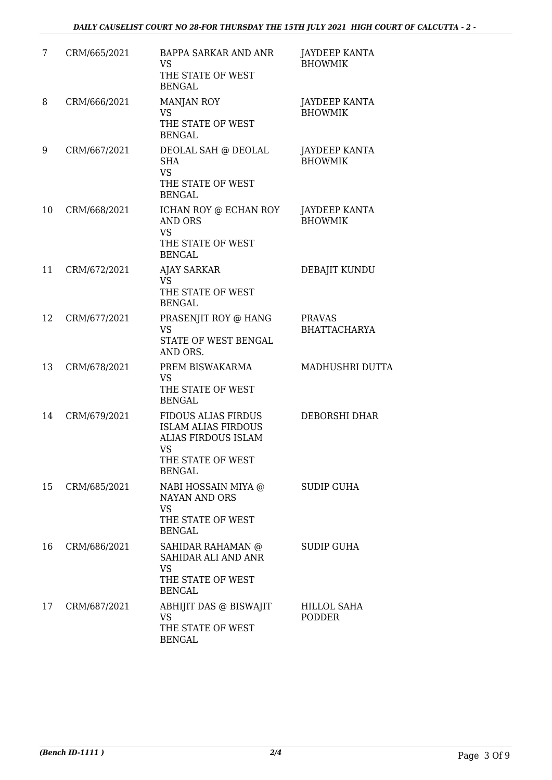| 7  | CRM/665/2021 | <b>BAPPA SARKAR AND ANR</b><br><b>VS</b><br>THE STATE OF WEST<br><b>BENGAL</b>                                                     | <b>JAYDEEP KANTA</b><br><b>BHOWMIK</b> |
|----|--------------|------------------------------------------------------------------------------------------------------------------------------------|----------------------------------------|
| 8  | CRM/666/2021 | <b>MANJAN ROY</b><br><b>VS</b><br>THE STATE OF WEST<br><b>BENGAL</b>                                                               | JAYDEEP KANTA<br><b>BHOWMIK</b>        |
| 9  | CRM/667/2021 | DEOLAL SAH @ DEOLAL<br><b>SHA</b><br><b>VS</b><br>THE STATE OF WEST<br><b>BENGAL</b>                                               | <b>JAYDEEP KANTA</b><br><b>BHOWMIK</b> |
| 10 | CRM/668/2021 | ICHAN ROY @ ECHAN ROY<br><b>AND ORS</b><br><b>VS</b><br>THE STATE OF WEST<br><b>BENGAL</b>                                         | JAYDEEP KANTA<br><b>BHOWMIK</b>        |
| 11 | CRM/672/2021 | <b>AJAY SARKAR</b><br><b>VS</b><br>THE STATE OF WEST<br><b>BENGAL</b>                                                              | DEBAJIT KUNDU                          |
| 12 | CRM/677/2021 | PRASENJIT ROY @ HANG<br><b>VS</b><br>STATE OF WEST BENGAL<br>AND ORS.                                                              | <b>PRAVAS</b><br><b>BHATTACHARYA</b>   |
| 13 | CRM/678/2021 | PREM BISWAKARMA<br><b>VS</b><br>THE STATE OF WEST<br><b>BENGAL</b>                                                                 | MADHUSHRI DUTTA                        |
| 14 | CRM/679/2021 | <b>FIDOUS ALIAS FIRDUS</b><br><b>ISLAM ALIAS FIRDOUS</b><br><b>ALIAS FIRDOUS ISLAM</b><br>VS<br>THE STATE OF WEST<br><b>BENGAL</b> | DEBORSHI DHAR                          |
| 15 | CRM/685/2021 | NABI HOSSAIN MIYA @<br><b>NAYAN AND ORS</b><br><b>VS</b><br>THE STATE OF WEST<br><b>BENGAL</b>                                     | <b>SUDIP GUHA</b>                      |
| 16 | CRM/686/2021 | SAHIDAR RAHAMAN @<br>SAHIDAR ALI AND ANR<br><b>VS</b><br>THE STATE OF WEST<br><b>BENGAL</b>                                        | <b>SUDIP GUHA</b>                      |
| 17 | CRM/687/2021 | ABHIJIT DAS @ BISWAJIT<br><b>VS</b><br>THE STATE OF WEST<br><b>BENGAL</b>                                                          | HILLOL SAHA<br><b>PODDER</b>           |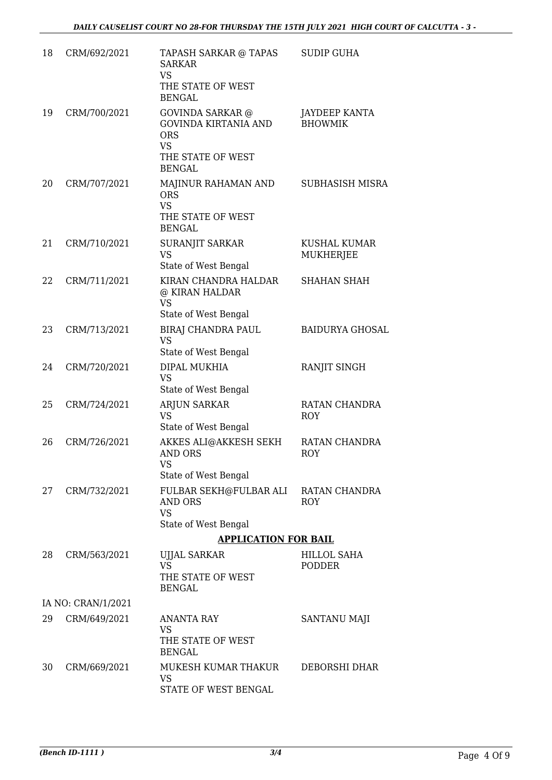| 18 | CRM/692/2021       | TAPASH SARKAR @ TAPAS<br><b>SARKAR</b><br><b>VS</b><br>THE STATE OF WEST<br><b>BENGAL</b>                               | <b>SUDIP GUHA</b>                      |
|----|--------------------|-------------------------------------------------------------------------------------------------------------------------|----------------------------------------|
| 19 | CRM/700/2021       | <b>GOVINDA SARKAR @</b><br><b>GOVINDA KIRTANIA AND</b><br><b>ORS</b><br><b>VS</b><br>THE STATE OF WEST<br><b>BENGAL</b> | <b>JAYDEEP KANTA</b><br><b>BHOWMIK</b> |
| 20 | CRM/707/2021       | MAJINUR RAHAMAN AND<br><b>ORS</b><br><b>VS</b><br>THE STATE OF WEST<br><b>BENGAL</b>                                    | SUBHASISH MISRA                        |
| 21 | CRM/710/2021       | SURANJIT SARKAR<br><b>VS</b><br>State of West Bengal                                                                    | KUSHAL KUMAR<br><b>MUKHERJEE</b>       |
| 22 | CRM/711/2021       | KIRAN CHANDRA HALDAR<br>@ KIRAN HALDAR<br><b>VS</b><br>State of West Bengal                                             | <b>SHAHAN SHAH</b>                     |
| 23 | CRM/713/2021       | BIRAJ CHANDRA PAUL<br><b>VS</b><br>State of West Bengal                                                                 | <b>BAIDURYA GHOSAL</b>                 |
| 24 | CRM/720/2021       | DIPAL MUKHIA<br><b>VS</b><br>State of West Bengal                                                                       | RANJIT SINGH                           |
| 25 | CRM/724/2021       | ARJUN SARKAR<br><b>VS</b><br>State of West Bengal                                                                       | RATAN CHANDRA<br><b>ROY</b>            |
| 26 | CRM/726/2021       | AKKES ALI@AKKESH SEKH<br><b>AND ORS</b><br><b>VS</b><br>State of West Bengal                                            | RATAN CHANDRA<br>ROY                   |
| 27 | CRM/732/2021       | FULBAR SEKH@FULBAR ALI<br><b>AND ORS</b><br><b>VS</b><br>State of West Bengal                                           | RATAN CHANDRA<br><b>ROY</b>            |
|    |                    | <b>APPLICATION FOR BAIL</b>                                                                                             |                                        |
| 28 | CRM/563/2021       | <b>UJJAL SARKAR</b><br><b>VS</b><br>THE STATE OF WEST<br><b>BENGAL</b>                                                  | <b>HILLOL SAHA</b><br><b>PODDER</b>    |
|    | IA NO: CRAN/1/2021 |                                                                                                                         |                                        |
| 29 | CRM/649/2021       | ANANTA RAY<br><b>VS</b><br>THE STATE OF WEST<br><b>BENGAL</b>                                                           | SANTANU MAJI                           |
| 30 | CRM/669/2021       | MUKESH KUMAR THAKUR<br>VS<br>STATE OF WEST BENGAL                                                                       | DEBORSHI DHAR                          |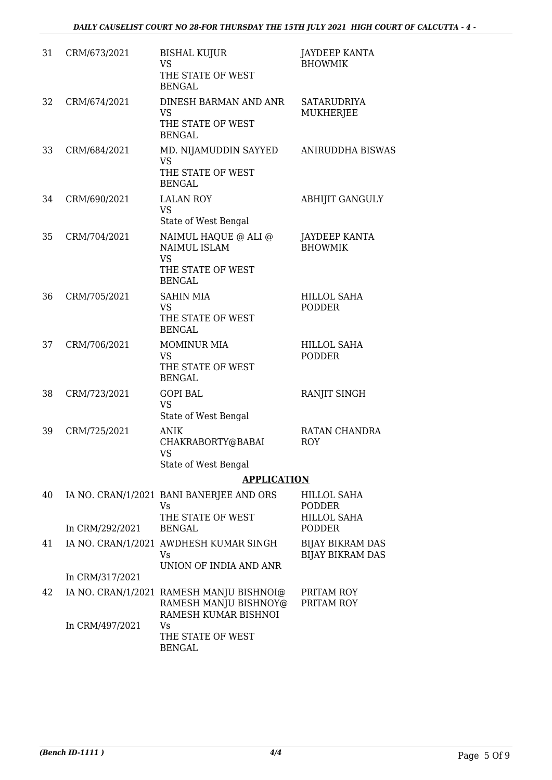| 31 | CRM/673/2021    | <b>BISHAL KUJUR</b><br><b>VS</b><br>THE STATE OF WEST<br><b>BENGAL</b>                         | <b>JAYDEEP KANTA</b><br><b>BHOWMIK</b>             |
|----|-----------------|------------------------------------------------------------------------------------------------|----------------------------------------------------|
| 32 | CRM/674/2021    | DINESH BARMAN AND ANR<br><b>VS</b><br>THE STATE OF WEST<br><b>BENGAL</b>                       | <b>SATARUDRIYA</b><br>MUKHERJEE                    |
| 33 | CRM/684/2021    | MD. NIJAMUDDIN SAYYED<br><b>VS</b><br>THE STATE OF WEST<br><b>BENGAL</b>                       | ANIRUDDHA BISWAS                                   |
| 34 | CRM/690/2021    | <b>LALAN ROY</b><br><b>VS</b><br>State of West Bengal                                          | <b>ABHIJIT GANGULY</b>                             |
| 35 | CRM/704/2021    | NAIMUL HAQUE @ ALI @<br><b>NAIMUL ISLAM</b><br><b>VS</b><br>THE STATE OF WEST<br><b>BENGAL</b> | <b>JAYDEEP KANTA</b><br><b>BHOWMIK</b>             |
| 36 | CRM/705/2021    | <b>SAHIN MIA</b><br><b>VS</b><br>THE STATE OF WEST<br><b>BENGAL</b>                            | <b>HILLOL SAHA</b><br><b>PODDER</b>                |
| 37 | CRM/706/2021    | <b>MOMINUR MIA</b><br><b>VS</b><br>THE STATE OF WEST<br><b>BENGAL</b>                          | <b>HILLOL SAHA</b><br><b>PODDER</b>                |
| 38 | CRM/723/2021    | <b>GOPI BAL</b><br><b>VS</b><br>State of West Bengal                                           | RANJIT SINGH                                       |
| 39 | CRM/725/2021    | <b>ANIK</b><br>CHAKRABORTY@BABAI<br><b>VS</b><br>State of West Bengal                          | RATAN CHANDRA<br><b>ROY</b>                        |
|    |                 | <b>APPLICATION</b>                                                                             |                                                    |
| 40 |                 | IA NO. CRAN/1/2021 BANI BANERJEE AND ORS<br><b>Vs</b>                                          | <b>HILLOL SAHA</b><br><b>PODDER</b>                |
|    | In CRM/292/2021 | THE STATE OF WEST<br><b>BENGAL</b>                                                             | <b>HILLOL SAHA</b><br><b>PODDER</b>                |
| 41 |                 | IA NO. CRAN/1/2021 AWDHESH KUMAR SINGH<br>Vs.<br>UNION OF INDIA AND ANR                        | <b>BIJAY BIKRAM DAS</b><br><b>BIJAY BIKRAM DAS</b> |
|    | In CRM/317/2021 |                                                                                                |                                                    |
| 42 |                 | IA NO. CRAN/1/2021 RAMESH MANJU BISHNOI@<br>RAMESH MANJU BISHNOY@<br>RAMESH KUMAR BISHNOI      | PRITAM ROY<br>PRITAM ROY                           |
|    | In CRM/497/2021 | Vs<br>THE STATE OF WEST<br><b>BENGAL</b>                                                       |                                                    |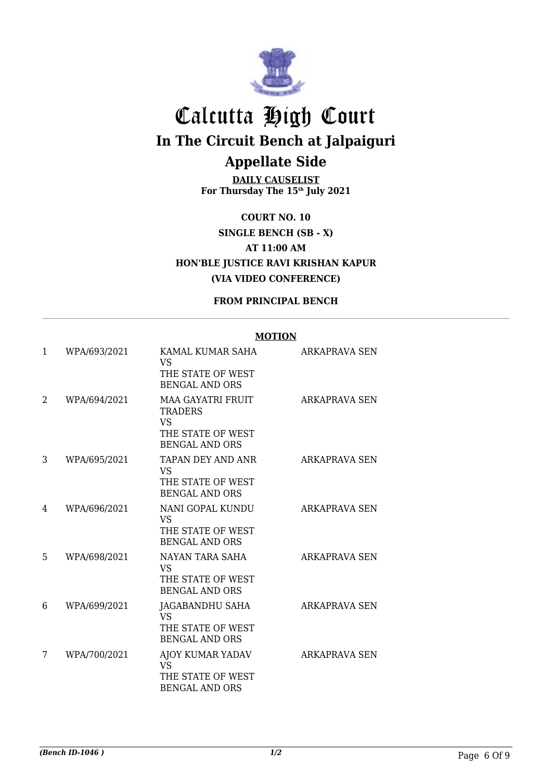

**DAILY CAUSELIST For Thursday The 15th July 2021**

**COURT NO. 10 SINGLE BENCH (SB - X) AT 11:00 AM HON'BLE JUSTICE RAVI KRISHAN KAPUR (VIA VIDEO CONFERENCE)**

#### **FROM PRINCIPAL BENCH**

#### **MOTION**

| 1  | WPA/693/2021 | KAMAL KUMAR SAHA<br><b>VS</b><br>THE STATE OF WEST<br><b>BENGAL AND ORS</b>                           | ARKAPRAVA SEN        |
|----|--------------|-------------------------------------------------------------------------------------------------------|----------------------|
| 2  | WPA/694/2021 | <b>MAA GAYATRI FRUIT</b><br><b>TRADERS</b><br><b>VS</b><br>THE STATE OF WEST<br><b>BENGAL AND ORS</b> | <b>ARKAPRAVA SEN</b> |
| 3  | WPA/695/2021 | TAPAN DEY AND ANR<br><b>VS</b><br>THE STATE OF WEST<br><b>BENGAL AND ORS</b>                          | <b>ARKAPRAVA SEN</b> |
| 4  | WPA/696/2021 | NANI GOPAL KUNDU<br><b>VS</b><br>THE STATE OF WEST<br><b>BENGAL AND ORS</b>                           | ARKAPRAVA SEN        |
| 5. | WPA/698/2021 | NAYAN TARA SAHA<br><b>VS</b><br>THE STATE OF WEST<br><b>BENGAL AND ORS</b>                            | ARKAPRAVA SEN        |
| 6  | WPA/699/2021 | JAGABANDHU SAHA<br><b>VS</b><br>THE STATE OF WEST<br><b>BENGAL AND ORS</b>                            | <b>ARKAPRAVA SEN</b> |
| 7  | WPA/700/2021 | AJOY KUMAR YADAV<br><b>VS</b><br>THE STATE OF WEST<br><b>BENGAL AND ORS</b>                           | ARKAPRAVA SEN        |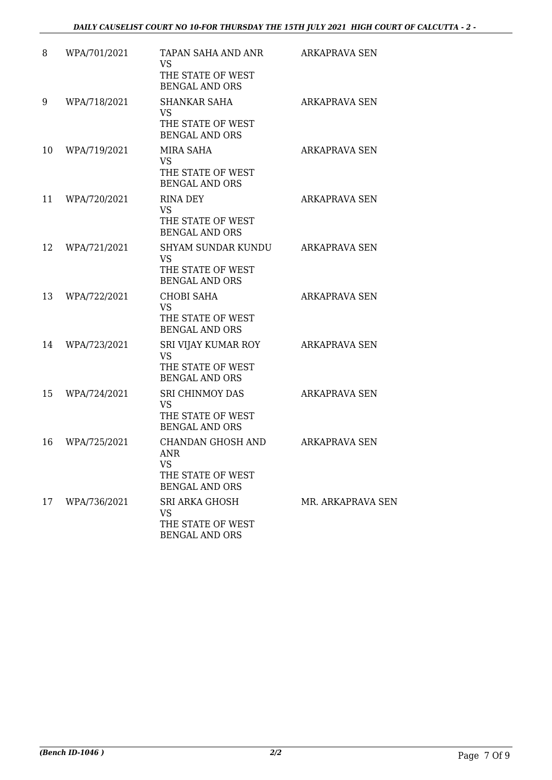| 8  | WPA/701/2021 | TAPAN SAHA AND ANR<br>VS<br>THE STATE OF WEST<br><b>BENGAL AND ORS</b>               | ARKAPRAVA SEN        |
|----|--------------|--------------------------------------------------------------------------------------|----------------------|
| 9  | WPA/718/2021 | <b>SHANKAR SAHA</b><br><b>VS</b><br>THE STATE OF WEST<br><b>BENGAL AND ORS</b>       | ARKAPRAVA SEN        |
| 10 | WPA/719/2021 | MIRA SAHA<br><b>VS</b><br>THE STATE OF WEST<br><b>BENGAL AND ORS</b>                 | ARKAPRAVA SEN        |
| 11 | WPA/720/2021 | RINA DEY<br><b>VS</b><br>THE STATE OF WEST<br><b>BENGAL AND ORS</b>                  | <b>ARKAPRAVA SEN</b> |
| 12 | WPA/721/2021 | <b>SHYAM SUNDAR KUNDU</b><br><b>VS</b><br>THE STATE OF WEST<br><b>BENGAL AND ORS</b> | <b>ARKAPRAVA SEN</b> |
| 13 | WPA/722/2021 | <b>CHOBI SAHA</b><br><b>VS</b><br>THE STATE OF WEST<br><b>BENGAL AND ORS</b>         | <b>ARKAPRAVA SEN</b> |
| 14 | WPA/723/2021 | SRI VIJAY KUMAR ROY<br><b>VS</b><br>THE STATE OF WEST<br><b>BENGAL AND ORS</b>       | <b>ARKAPRAVA SEN</b> |
| 15 | WPA/724/2021 | <b>SRI CHINMOY DAS</b><br><b>VS</b><br>THE STATE OF WEST<br><b>BENGAL AND ORS</b>    | ARKAPRAVA SEN        |
| 16 | WPA/725/2021 | CHANDAN GHOSH AND<br>ANR<br><b>VS</b><br>THE STATE OF WEST<br><b>BENGAL AND ORS</b>  | <b>ARKAPRAVA SEN</b> |
| 17 | WPA/736/2021 | <b>SRI ARKA GHOSH</b><br>VS<br>THE STATE OF WEST<br><b>BENGAL AND ORS</b>            | MR. ARKAPRAVA SEN    |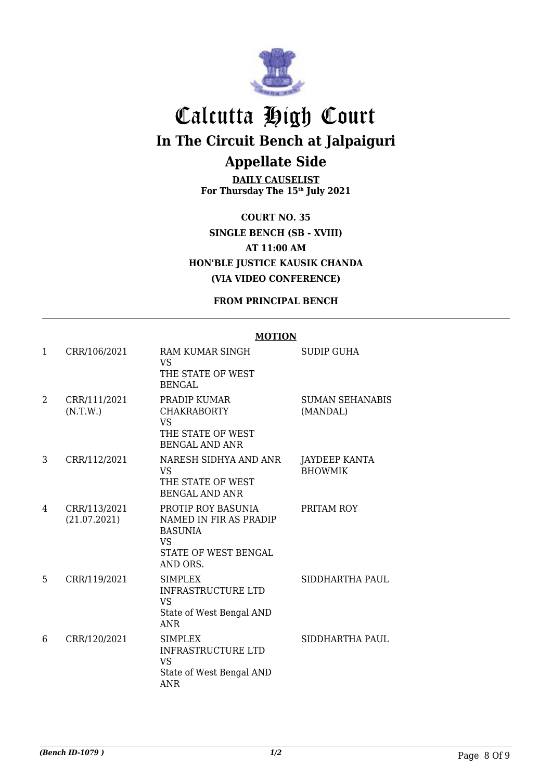

**DAILY CAUSELIST For Thursday The 15th July 2021**

**COURT NO. 35 SINGLE BENCH (SB - XVIII) AT 11:00 AM HON'BLE JUSTICE KAUSIK CHANDA (VIA VIDEO CONFERENCE)**

#### **FROM PRINCIPAL BENCH**

#### **MOTION**

| $\mathbf{1}$ | CRR/106/2021                 | RAM KUMAR SINGH<br><b>VS</b><br>THE STATE OF WEST<br><b>BENGAL</b>                                              | <b>SUDIP GUHA</b>               |
|--------------|------------------------------|-----------------------------------------------------------------------------------------------------------------|---------------------------------|
| 2            | CRR/111/2021<br>(N.T.W.)     | PRADIP KUMAR<br><b>CHAKRABORTY</b><br><b>VS</b><br>THE STATE OF WEST<br><b>BENGAL AND ANR</b>                   | SUMAN SEHANABIS<br>(MANDAL)     |
| 3            | CRR/112/2021                 | NARESH SIDHYA AND ANR<br>VS<br>THE STATE OF WEST<br><b>BENGAL AND ANR</b>                                       | JAYDEEP KANTA<br><b>BHOWMIK</b> |
| 4            | CRR/113/2021<br>(21.07.2021) | PROTIP ROY BASUNIA<br>NAMED IN FIR AS PRADIP<br><b>BASUNIA</b><br><b>VS</b><br>STATE OF WEST BENGAL<br>AND ORS. | PRITAM ROY                      |
| 5            | CRR/119/2021                 | <b>SIMPLEX</b><br><b>INFRASTRUCTURE LTD</b><br><b>VS</b><br>State of West Bengal AND<br><b>ANR</b>              | SIDDHARTHA PAUL                 |
| 6            | CRR/120/2021                 | <b>SIMPLEX</b><br><b>INFRASTRUCTURE LTD</b><br><b>VS</b><br>State of West Bengal AND<br><b>ANR</b>              | SIDDHARTHA PAUL                 |